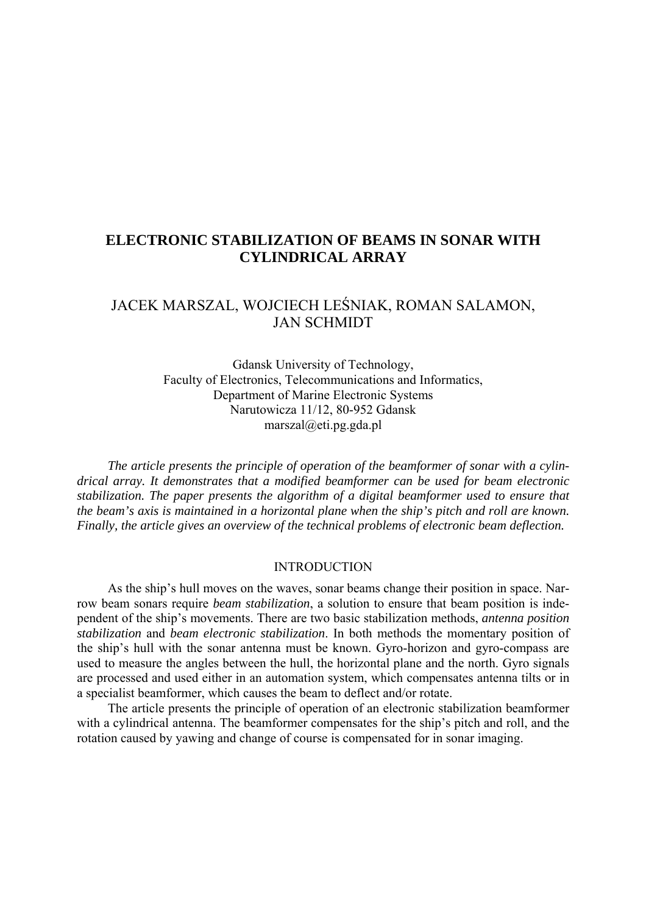## **ELECTRONIC STABILIZATION OF BEAMS IN SONAR WITH CYLINDRICAL ARRAY**

# JACEK MARSZAL, WOJCIECH LEŚNIAK, ROMAN SALAMON, JAN SCHMIDT

Gdansk University of Technology, Faculty of Electronics, Telecommunications and Informatics, Department of Marine Electronic Systems Narutowicza 11/12, 80-952 Gdansk marszal@eti.pg.gda.pl

*The article presents the principle of operation of the beamformer of sonar with a cylindrical array. It demonstrates that a modified beamformer can be used for beam electronic stabilization. The paper presents the algorithm of a digital beamformer used to ensure that the beam's axis is maintained in a horizontal plane when the ship's pitch and roll are known. Finally, the article gives an overview of the technical problems of electronic beam deflection.* 

#### INTRODUCTION

As the ship's hull moves on the waves, sonar beams change their position in space. Narrow beam sonars require *beam stabilization*, a solution to ensure that beam position is independent of the ship's movements. There are two basic stabilization methods, *antenna position stabilization* and *beam electronic stabilization*. In both methods the momentary position of the ship's hull with the sonar antenna must be known. Gyro-horizon and gyro-compass are used to measure the angles between the hull, the horizontal plane and the north. Gyro signals are processed and used either in an automation system, which compensates antenna tilts or in a specialist beamformer, which causes the beam to deflect and/or rotate.

The article presents the principle of operation of an electronic stabilization beamformer with a cylindrical antenna. The beamformer compensates for the ship's pitch and roll, and the rotation caused by yawing and change of course is compensated for in sonar imaging.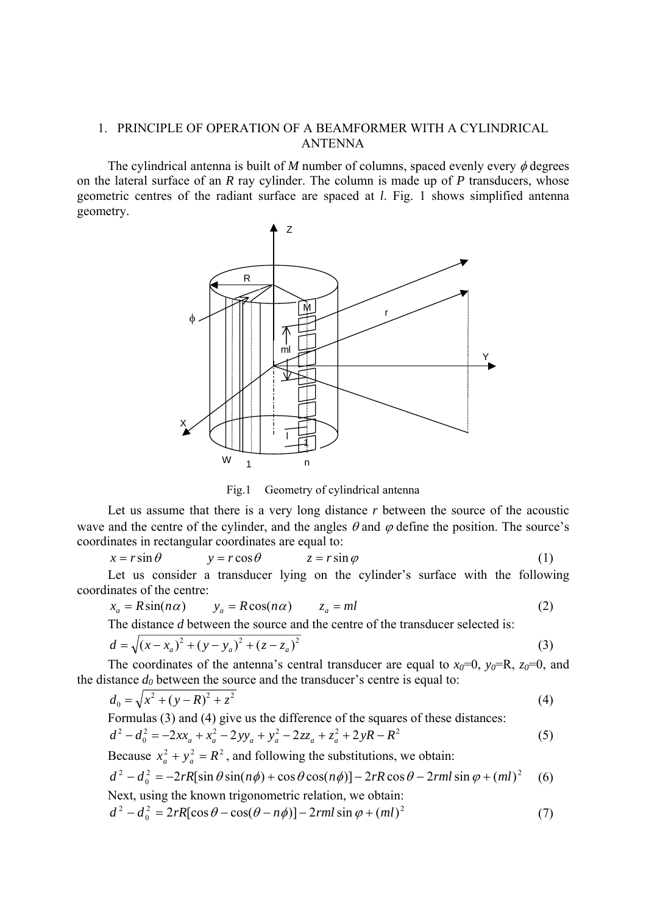## 1. PRINCIPLE OF OPERATION OF A BEAMFORMER WITH A CYLINDRICAL ANTENNA

The cylindrical antenna is built of *M* number of columns, spaced evenly every  $\phi$  degrees on the lateral surface of an *R* ray cylinder. The column is made up of *P* transducers, whose geometric centres of the radiant surface are spaced at *l*. Fig. 1 shows simplified antenna geometry.



Fig.1 Geometry of cylindrical antenna

Let us assume that there is a very long distance *r* between the source of the acoustic wave and the centre of the cylinder, and the angles  $\theta$  and  $\varphi$  define the position. The source's coordinates in rectangular coordinates are equal to:

$$
x = r\sin\theta \qquad \qquad y = r\cos\theta \qquad \qquad z = r\sin\varphi \tag{1}
$$

Let us consider a transducer lying on the cylinder's surface with the following coordinates of the centre:

$$
x_a = R\sin(n\alpha) \qquad y_a = R\cos(n\alpha) \qquad z_a = ml \tag{2}
$$

The distance *d* between the source and the centre of the transducer selected is:

$$
d = \sqrt{(x - x_a)^2 + (y - y_a)^2 + (z - z_a)^2}
$$
 (3)

The coordinates of the antenna's central transducer are equal to  $x_0=0$ ,  $y_0=R$ ,  $z_0=0$ , and the distance  $d_0$  between the source and the transducer's centre is equal to:

$$
d_0 = \sqrt{x^2 + (y - R)^2 + z^2} \tag{4}
$$

Formulas (3) and (4) give us the difference of the squares of these distances:

$$
d^{2} - d_{0}^{2} = -2xx_{a} + x_{a}^{2} - 2yy_{a} + y_{a}^{2} - 2zz_{a} + z_{a}^{2} + 2yR - R^{2}
$$
\n(5)

Because  $x_a^2 + y_a^2 = R^2$ , and following the substitutions, we obtain:

$$
d^{2} - d_{0}^{2} = -2rR[\sin \theta \sin(n\phi) + \cos \theta \cos(n\phi)] - 2rR\cos\theta - 2rml\sin\phi + (ml)^{2}
$$
 (6)

Next, using the known trigonometric relation, we obtain:  
\n
$$
d^2 - d_0^2 = 2rR[\cos\theta - \cos(\theta - n\phi)] - 2rm \sin\phi + (ml)^2
$$
\n(7)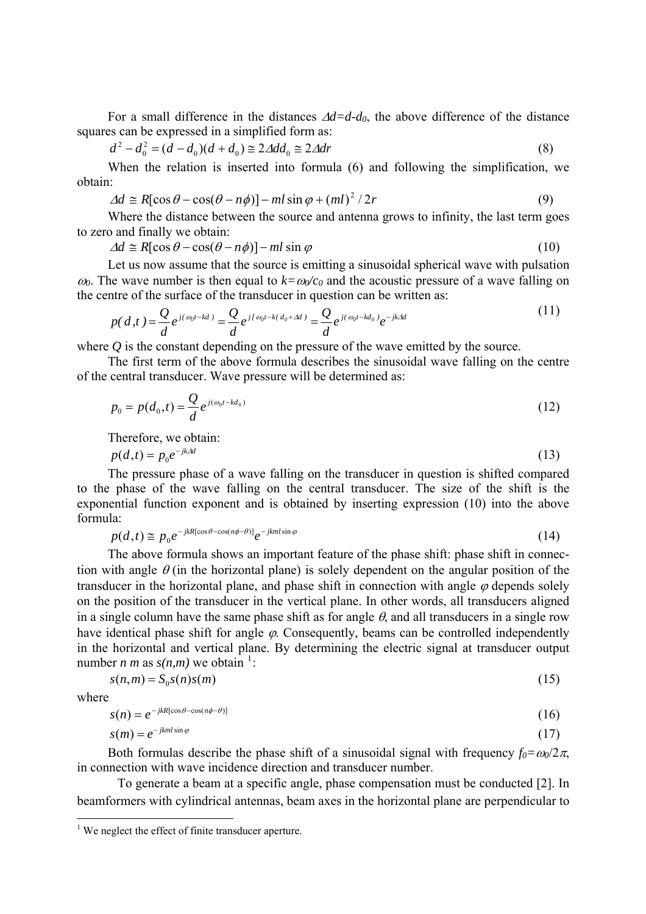For a small difference in the distances  $\Delta d = d - d_0$ , the above difference of the distance squares can be expressed in a simplified form as:

$$
d^{2} - d_{0}^{2} = (d - d_{0})(d + d_{0}) \approx 2\Delta dd_{0} \approx 2\Delta dr
$$
 (8)

When the relation is inserted into formula (6) and following the simplification, we obtain:

$$
\Delta d \cong R[\cos \theta - \cos(\theta - n\phi)] - ml \sin \varphi + (ml)^2 / 2r \tag{9}
$$

Where the distance between the source and antenna grows to infinity, the last term goes to zero and finally we obtain:

$$
\Delta d \cong R[\cos \theta - \cos(\theta - n\phi)] - ml \sin \varphi \tag{10}
$$

Let us now assume that the source is emitting a sinusoidal spherical wave with pulsation  $ω_0$ . The wave number is then equal to  $k = ω_0/c_0$  and the acoustic pressure of a wave falling on the centre of the surface of the transducer in question can be written as:

$$
p(d,t) = \frac{Q}{d}e^{j(\omega_0 t - kd)} = \frac{Q}{d}e^{j(\omega_0 t - k(d_0 + Ad))} = \frac{Q}{d}e^{j(\omega_0 t - kd_0)}e^{-jkAd}
$$
(11)

where *Q* is the constant depending on the pressure of the wave emitted by the source.

The first term of the above formula describes the sinusoidal wave falling on the centre of the central transducer. Wave pressure will be determined as:

$$
p_0 = p(d_0, t) = \frac{Q}{d} e^{j(\omega_0 t - kd_0)}
$$
\n(12)

Therefore, we obtain:

$$
p(d,t) = p_0 e^{-jk\Delta d} \tag{13}
$$

The pressure phase of a wave falling on the transducer in question is shifted compared to the phase of the wave falling on the central transducer. The size of the shift is the exponential function exponent and is obtained by inserting expression (10) into the above formula:

$$
p(d,t) \cong p_0 e^{-jkR[\cos\theta - \cos(n\phi - \theta)]} e^{-jkml\sin\varphi}
$$
\n(14)

The above formula shows an important feature of the phase shift: phase shift in connection with angle  $\theta$  (in the horizontal plane) is solely dependent on the angular position of the transducer in the horizontal plane, and phase shift in connection with angle  $\varphi$  depends solely on the position of the transducer in the vertical plane. In other words, all transducers aligned in a single column have the same phase shift as for angle  $\theta$ , and all transducers in a single row have identical phase shift for angle  $\varphi$ . Consequently, beams can be controlled independently in the horizontal and vertical plane. By determining the electric signal at transducer output number *n m* as  $s(n,m)$  we obtain <sup>[1](#page-2-0)</sup>:

$$
s(n,m) = S_0 s(n) s(m) \tag{15}
$$

where

 $\overline{a}$ 

$$
s(n) = e^{-j k R[\cos \theta - \cos(n\phi - \theta)]} \tag{16}
$$

$$
s(m) = e^{-jkml\sin\varphi} \tag{17}
$$

Both formulas describe the phase shift of a sinusoidal signal with frequency  $f_0 = \omega_0/2\pi$ , in connection with wave incidence direction and transducer number.

To generate a beam at a specific angle, phase compensation must be conducted [2]. In beamformers with cylindrical antennas, beam axes in the horizontal plane are perpendicular to

<span id="page-2-0"></span><sup>&</sup>lt;sup>1</sup> We neglect the effect of finite transducer aperture.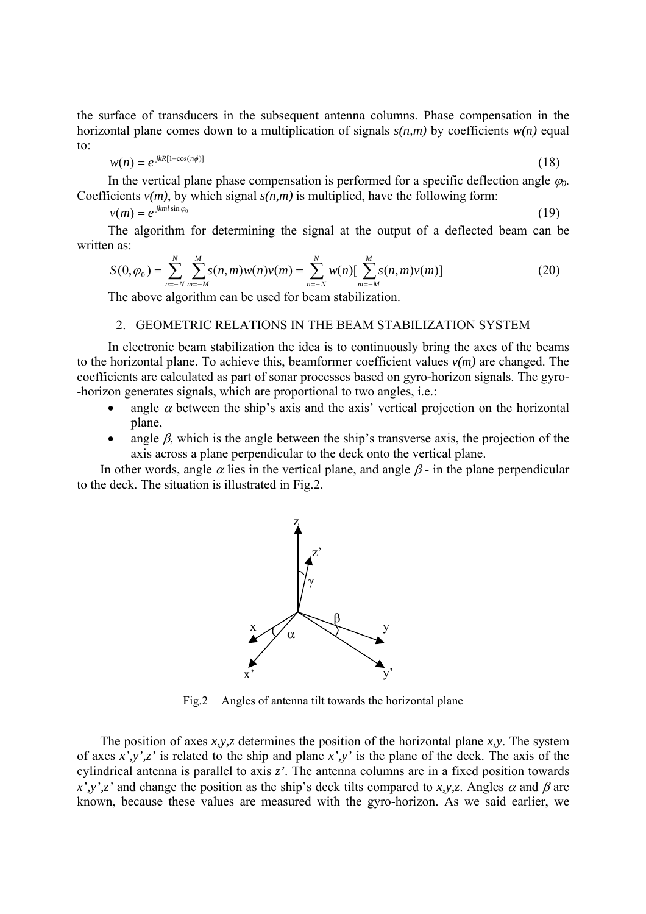the surface of transducers in the subsequent antenna columns. Phase compensation in the horizontal plane comes down to a multiplication of signals  $s(n,m)$  by coefficients  $w(n)$  equal to:

$$
w(n) = e^{j k R[1 - \cos(n\phi)]} \tag{18}
$$

In the vertical plane phase compensation is performed for a specific deflection angle  $\varphi_0$ . Coefficients  $v(m)$ , by which signal  $s(n,m)$  is multiplied, have the following form:

$$
v(m) = e^{jkml\sin\varphi_0} \tag{19}
$$

The algorithm for determining the signal at the output of a deflected beam can be written as:

$$
S(0,\varphi_0) = \sum_{n=-N}^{N} \sum_{m=-M}^{M} s(n,m)w(n)v(m) = \sum_{n=-N}^{N} w(n) \left[ \sum_{m=-M}^{M} s(n,m)v(m) \right]
$$
(20)

The above algorithm can be used for beam stabilization.

## 2. GEOMETRIC RELATIONS IN THE BEAM STABILIZATION SYSTEM

In electronic beam stabilization the idea is to continuously bring the axes of the beams to the horizontal plane. To achieve this, beamformer coefficient values *v(m)* are changed. The coefficients are calculated as part of sonar processes based on gyro-horizon signals. The gyro- -horizon generates signals, which are proportional to two angles, i.e.:

- angle  $\alpha$  between the ship's axis and the axis' vertical projection on the horizontal plane,
- angle  $\beta$ , which is the angle between the ship's transverse axis, the projection of the axis across a plane perpendicular to the deck onto the vertical plane.

In other words, angle  $\alpha$  lies in the vertical plane, and angle  $\beta$ - in the plane perpendicular to the deck. The situation is illustrated in Fig.2.



Fig.2 Angles of antenna tilt towards the horizontal plane

The position of axes *x,y,z* determines the position of the horizontal plane *x,y*. The system of axes *x',y',z'* is related to the ship and plane *x',y'* is the plane of the deck. The axis of the cylindrical antenna is parallel to axis *z'*. The antenna columns are in a fixed position towards  $x', y', z'$  and change the position as the ship's deck tilts compared to *x,y,z*. Angles  $\alpha$  and  $\beta$  are known, because these values are measured with the gyro-horizon. As we said earlier, we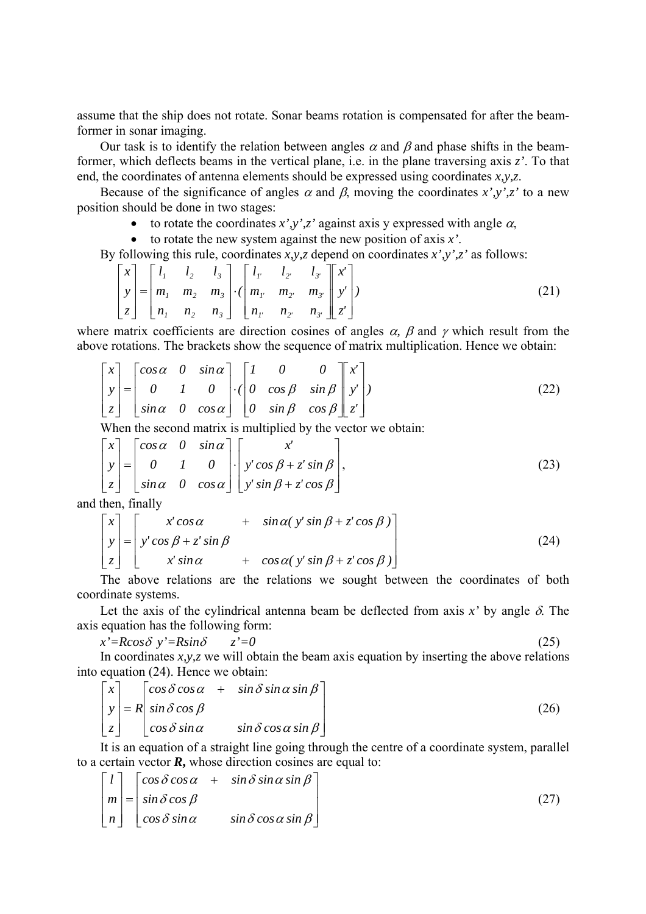assume that the ship does not rotate. Sonar beams rotation is compensated for after the beamformer in sonar imaging.

Our task is to identify the relation between angles  $\alpha$  and  $\beta$  and phase shifts in the beamformer, which deflects beams in the vertical plane, i.e. in the plane traversing axis *z'*. To that end, the coordinates of antenna elements should be expressed using coordinates *x,y,z*.

Because of the significance of angles  $\alpha$  and  $\beta$ , moving the coordinates *x'*,y',z' to a new position should be done in two stages:

- to rotate the coordinates  $x', y', z'$  against axis y expressed with angle  $\alpha$ ,
- to rotate the new system against the new position of axis *x'*.

By following this rule, coordinates *x,y,z* depend on coordinates *x',y',z'* as follows:

$$
\begin{bmatrix} x \\ y \\ z \end{bmatrix} = \begin{bmatrix} l_1 & l_2 & l_3 \\ m_1 & m_2 & m_3 \\ n_1 & n_2 & n_3 \end{bmatrix} \cdot \begin{bmatrix} l_1 & l_2 & l_3 \\ m_1 & m_2 & m_3 \\ n_1 & n_2 & n_3 \end{bmatrix} \cdot \begin{bmatrix} x' \\ y' \\ z' \end{bmatrix}
$$
 (21)

where matrix coefficients are direction cosines of angles  $\alpha$ ,  $\beta$  and  $\gamma$  which result from the above rotations. The brackets show the sequence of matrix multiplication. Hence we obtain:

$$
\begin{bmatrix} x \\ y \\ z \end{bmatrix} = \begin{bmatrix} \cos \alpha & 0 & \sin \alpha \\ 0 & 1 & 0 \\ \sin \alpha & 0 & \cos \alpha \end{bmatrix} \cdot \begin{bmatrix} 1 & 0 & 0 \\ 0 & \cos \beta & \sin \beta \\ 0 & \sin \beta & \cos \beta \end{bmatrix} \begin{bmatrix} x' \\ y' \\ z' \end{bmatrix}
$$
(22)

When the second matrix is multiplied by the vector we obtain:

$$
\begin{bmatrix} x \\ y \\ z \end{bmatrix} = \begin{bmatrix} \cos \alpha & 0 & \sin \alpha \\ 0 & 1 & 0 \\ \sin \alpha & 0 & \cos \alpha \end{bmatrix} \cdot \begin{bmatrix} x' \\ y' \cos \beta + z' \sin \beta \\ y' \sin \beta + z' \cos \beta \end{bmatrix},
$$
(23)

and then, finally

$$
\begin{bmatrix} x \\ y \\ z \end{bmatrix} = \begin{bmatrix} x' \cos \alpha & + \sin \alpha (y' \sin \beta + z' \cos \beta) \\ y' \cos \beta + z' \sin \beta & + \cos \alpha (y' \sin \beta + z' \cos \beta) \end{bmatrix}
$$
(24)

The above relations are the relations we sought between the coordinates of both coordinate systems.

Let the axis of the cylindrical antenna beam be deflected from axis  $x'$  by angle  $\delta$ . The axis equation has the following form:

$$
x' = R\cos\delta \quad y' = R\sin\delta \qquad z' = 0 \tag{25}
$$

In coordinates *x,y,z* we will obtain the beam axis equation by inserting the above relations into equation (24). Hence we obtain:

$$
\begin{bmatrix} x \\ y \\ z \end{bmatrix} = R \begin{bmatrix} \cos \delta \cos \alpha & + & \sin \delta \sin \alpha \sin \beta \\ \sin \delta \cos \beta & \sin \alpha & \sin \delta \cos \alpha \sin \beta \end{bmatrix}
$$
 (26)

It is an equation of a straight line going through the centre of a coordinate system, parallel to a certain vector *R***,** whose direction cosines are equal to:

$$
\begin{bmatrix} l \\ m \\ n \end{bmatrix} = \begin{bmatrix} \cos \delta \cos \alpha & + & \sin \delta \sin \alpha \sin \beta \\ \sin \delta \cos \beta & \sin \alpha & \sin \delta \cos \alpha \sin \beta \end{bmatrix}
$$
 (27)